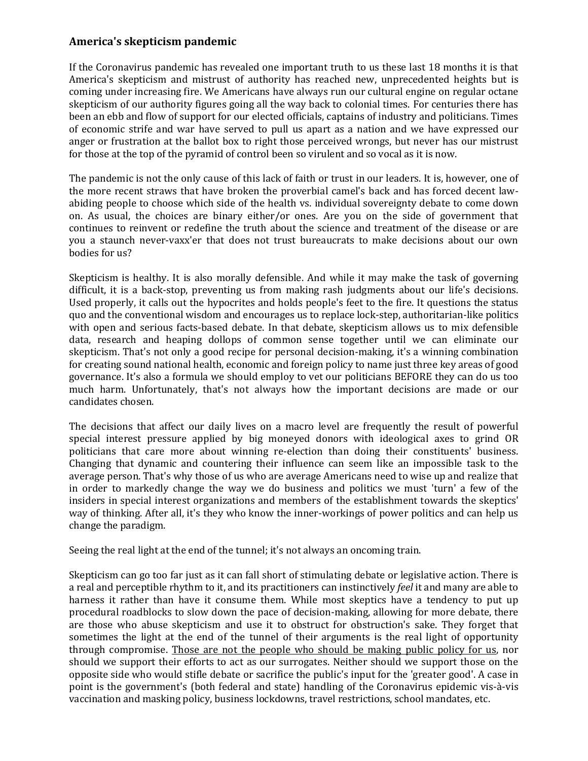## **America's skepticism pandemic**

If the Coronavirus pandemic has revealed one important truth to us these last 18 months it is that America's skepticism and mistrust of authority has reached new, unprecedented heights but is coming under increasing fire. We Americans have always run our cultural engine on regular octane skepticism of our authority figures going all the way back to colonial times. For centuries there has been an ebb and flow of support for our elected officials, captains of industry and politicians. Times of economic strife and war have served to pull us apart as a nation and we have expressed our anger or frustration at the ballot box to right those perceived wrongs, but never has our mistrust for those at the top of the pyramid of control been so virulent and so vocal as it is now.

The pandemic is not the only cause of this lack of faith or trust in our leaders. It is, however, one of the more recent straws that have broken the proverbial camel's back and has forced decent lawabiding people to choose which side of the health vs. individual sovereignty debate to come down on. As usual, the choices are binary either/or ones. Are you on the side of government that continues to reinvent or redefine the truth about the science and treatment of the disease or are you a staunch never-vaxx'er that does not trust bureaucrats to make decisions about our own bodies for us?

Skepticism is healthy. It is also morally defensible. And while it may make the task of governing difficult, it is a back-stop, preventing us from making rash judgments about our life's decisions. Used properly, it calls out the hypocrites and holds people's feet to the fire. It questions the status quo and the conventional wisdom and encourages us to replace lock-step, authoritarian-like politics with open and serious facts-based debate. In that debate, skepticism allows us to mix defensible data, research and heaping dollops of common sense together until we can eliminate our skepticism. That's not only a good recipe for personal decision-making, it's a winning combination for creating sound national health, economic and foreign policy to name just three key areas of good governance. It's also a formula we should employ to vet our politicians BEFORE they can do us too much harm. Unfortunately, that's not always how the important decisions are made or our candidates chosen.

The decisions that affect our daily lives on a macro level are frequently the result of powerful special interest pressure applied by big moneyed donors with ideological axes to grind OR politicians that care more about winning re-election than doing their constituents' business. Changing that dynamic and countering their influence can seem like an impossible task to the average person. That's why those of us who are average Americans need to wise up and realize that in order to markedly change the way we do business and politics we must 'turn' a few of the insiders in special interest organizations and members of the establishment towards the skeptics' way of thinking. After all, it's they who know the inner-workings of power politics and can help us change the paradigm.

Seeing the real light at the end of the tunnel; it's not always an oncoming train.

Skepticism can go too far just as it can fall short of stimulating debate or legislative action. There is a real and perceptible rhythm to it, and its practitioners can instinctively *feel* it and many are able to harness it rather than have it consume them. While most skeptics have a tendency to put up procedural roadblocks to slow down the pace of decision-making, allowing for more debate, there are those who abuse skepticism and use it to obstruct for obstruction's sake. They forget that sometimes the light at the end of the tunnel of their arguments is the real light of opportunity through compromise. Those are not the people who should be making public policy for us, nor should we support their efforts to act as our surrogates. Neither should we support those on the opposite side who would stifle debate or sacrifice the public's input for the 'greater good'. A case in point is the government's (both federal and state) handling of the Coronavirus epidemic vis-à-vis vaccination and masking policy, business lockdowns, travel restrictions, school mandates, etc.